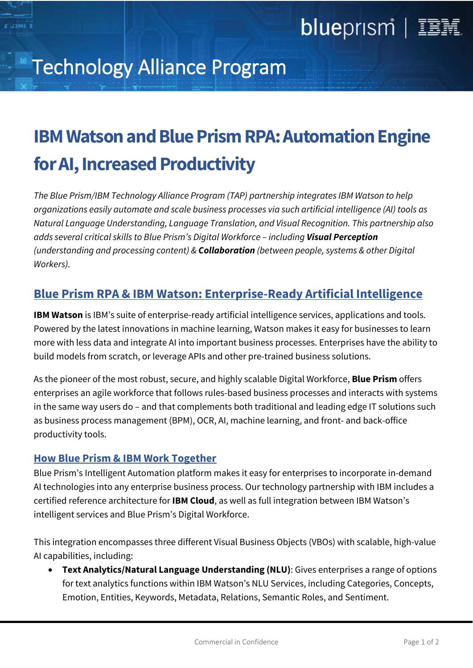## Technology Alliance Program

## **IBM Watson and Blue Prism RPA: Automation Engine for AI, Increased Productivity**

*The Blue Prism/IBM Technology Alliance Program (TAP) partnership integrates IBM Watson to help organizations easily automate and scale business processes via such artificial intelligence (AI) tools as Natural Language Understanding, Language Translation, and Visual Recognition. This partnership also adds several critical skills to Blue Prism's Digital Workforce – including Visual Perception (understanding and processing content) & Collaboration (between people, systems & other Digital Workers).*

### **Blue Prism RPA & IBM Watson: Enterprise-Ready Artificial Intelligence**

**IBM Watson** is IBM's suite of enterprise-ready artificial intelligence services, applications and tools. Powered by the latest innovations in machine learning, Watson makes it easy for businesses to learn more with less data and integrate AI into important business processes. Enterprises have the ability to build models from scratch, or leverage APIs and other pre-trained business solutions.

As the pioneer of the most robust, secure, and highly scalable Digital Workforce, **Blue Prism** offers enterprises an agile workforce that follows rules-based business processes and interacts with systems in the same way users do – and that complements both traditional and leading edge IT solutions such as business process management (BPM), OCR, AI, machine learning, and front- and back-office productivity tools.

#### **How Blue Prism & IBM Work Together**

Blue Prism's Intelligent Automation platform makes it easy for enterprises to incorporate in-demand AI technologies into any enterprise business process. Our technology partnership with IBM includes a certified reference architecture for **IBM Cloud**, as well as full integration between IBM Watson's intelligent services and Blue Prism's Digital Workforce.

This integration encompasses three different Visual Business Objects (VBOs) with scalable, high-value AI capabilities, including:

• **Text Analytics/Natural Language Understanding (NLU)**: Gives enterprises a range of options for text analytics functions within IBM Watson's NLU Services, including Categories, Concepts, Emotion, Entities, Keywords, Metadata, Relations, Semantic Roles, and Sentiment.